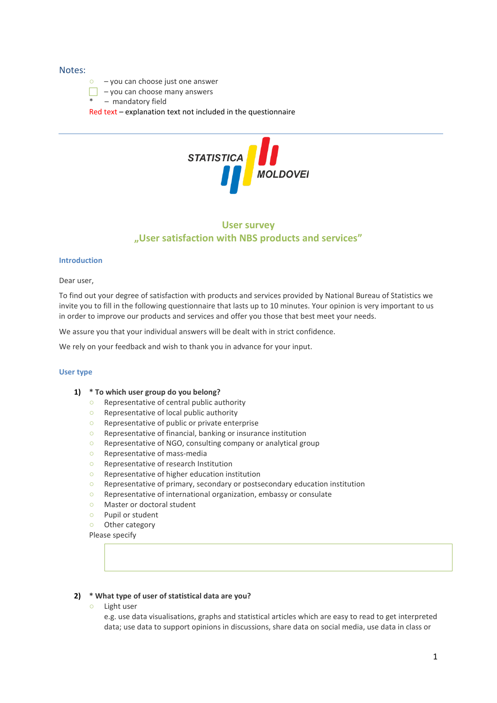# Notes:

- – you can choose just one answer
- $\Box$  you can choose many answers
- mandatory field

Red text – explanation text not included in the questionnaire



# **User survey "User satisfaction with NBS products and services"**

#### **Introduction**

Dear user,

To find out your degree of satisfaction with products and services provided by National Bureau of Statistics we invite you to fill in the following questionnaire that lasts up to 10 minutes. Your opinion is very important to us in order to improve our products and services and offer you those that best meet your needs.

We assure you that your individual answers will be dealt with in strict confidence.

We rely on your feedback and wish to thank you in advance for your input.

#### **User type**

#### **1) \* To which user group do you belong?**

- Representative of central public authority
- Representative of local public authority
- Representative of public or private enterprise
- Representative of financial, banking or insurance institution<br>○ Representative of NGO, consulting company or analytical gro
- Representative of NGO, consulting company or analytical group<br>○ Representative of mass-media
- Representative of mass-media<br>○ Representative of research Ins
- Representative of research Institution<br>○ Representative of higher education ins
- Representative of higher education institution<br>○ Representative of primary, secondary or posts
- Representative of primary, secondary or postsecondary education institution
- Representative of international organization, embassy or consulate
- Master or doctoral student
- Pupil or student
- Other category
- Please specify

#### **2) \* What type of user of statistical data are you?**

○ Light user

e.g. use data visualisations, graphs and statistical articles which are easy to read to get interpreted data; use data to support opinions in discussions, share data on social media, use data in class or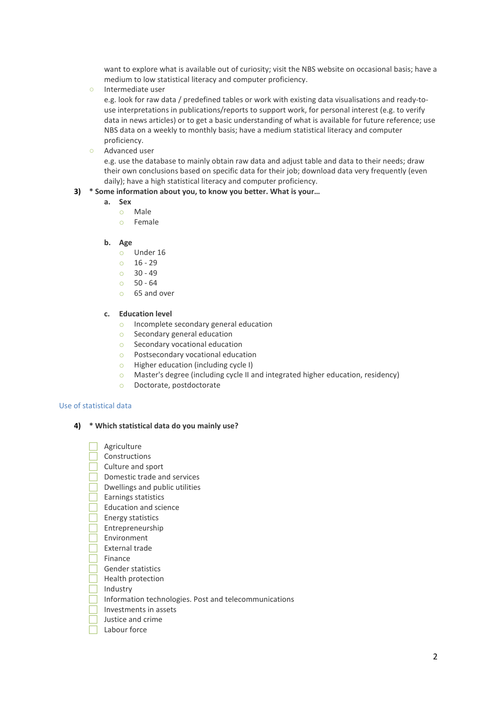want to explore what is available out of curiosity; visit the NBS website on occasional basis; have a medium to low statistical literacy and computer proficiency.

○ Intermediate user

e.g. look for raw data / predefined tables or work with existing data visualisations and ready-touse interpretations in publications/reports to support work, for personal interest (e.g. to verify data in news articles) or to get a basic understanding of what is available for future reference; use NBS data on a weekly to monthly basis; have a medium statistical literacy and computer proficiency.

○ Advanced user

e.g. use the database to mainly obtain raw data and adjust table and data to their needs; draw their own conclusions based on specific data for their job; download data very frequently (even daily); have a high statistical literacy and computer proficiency.

# **3) \* Some information about you, to know you better. What is your…**

- **a. Sex**
	- o Male
	- o Female

#### **b. Age**

- o Under 16
- $0 \t 16 29$
- o 30 49
- o 50 64
- o 65 and over

# **c. Education level**

- o Incomplete secondary general education
- o Secondary general education
- o Secondary vocational education
- o Postsecondary vocational education
- o Higher education (including cycle I)
- o Master's degree (including cycle II and integrated higher education, residency)
- o Doctorate, postdoctorate

#### Use of statistical data

**4) \* Which statistical data do you mainly use?**

 $\Box$  Agriculture  $\Box$  Constructions  $\Box$  Culture and sport Domestic trade and services  $\Box$  Dwellings and public utilities  $\Box$  Earnings statistics  $\Box$  Education and science  $\Box$  Energy statistics Entrepreneurship Environment External trade  $\Box$  Finance  $\Box$  Gender statistics  $\Box$  Health protection  $\Box$  Industry Information technologies. Post and telecommunications  $\Box$  Investments in assets Justice and crime  $\overline{\phantom{a}}$  Labour force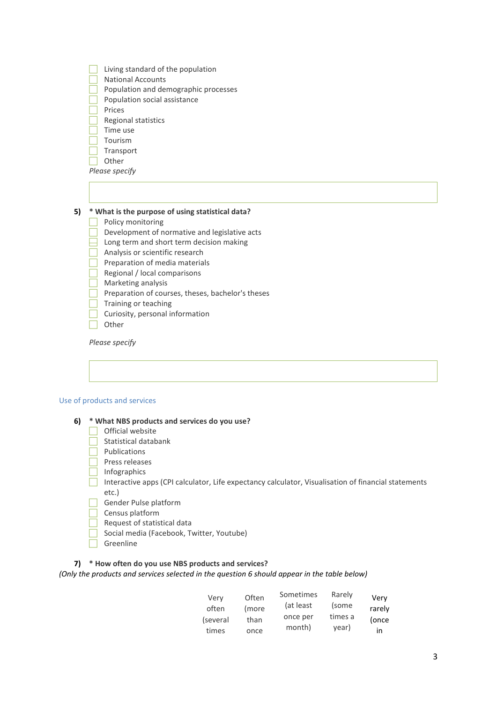

*Please specify*

# **5) \* What is the purpose of using statistical data?**

- **Policy monitoring**
- $\Box$  Development of normative and legislative acts
- $\Box$  Long term and short term decision making
- Analysis or scientific research
- $\Box$  Preparation of media materials
- $\Box$  Regional / local comparisons
- $\Box$  Marketing analysis
- $\Box$  Preparation of courses, theses, bachelor's theses
- $\Box$  Training or teaching
- $\Box$  Curiosity, personal information
- $\Box$  Other

*Please specify*

### Use of products and services

L

- **6) \* What NBS products and services do you use?**
	- $\Box$  Official website
	- Statistical databank
	- $\Box$  Publications
	- $\Box$  Press releases
	- $\Box$  Infographics
	- Interactive apps (CPI calculator, Life expectancy calculator, Visualisation of financial statements etc.)
	- Gender Pulse platform
	- $\Box$  Census platform
	- Request of statistical data
	- Social media (Facebook, Twitter, Youtube)
	- $\Box$  Greenline

# **7) \* How often do you use NBS products and services?** *(Only the products and services selected in the question 6 should appear in the table below)*

| Verv     | Often | Sometimes | Rarely  | Very   |
|----------|-------|-----------|---------|--------|
| often    | (more | (at least | (some   | rarely |
| (several | than  | once per  | times a | (once  |
| times    | once  | month)    | year)   | in     |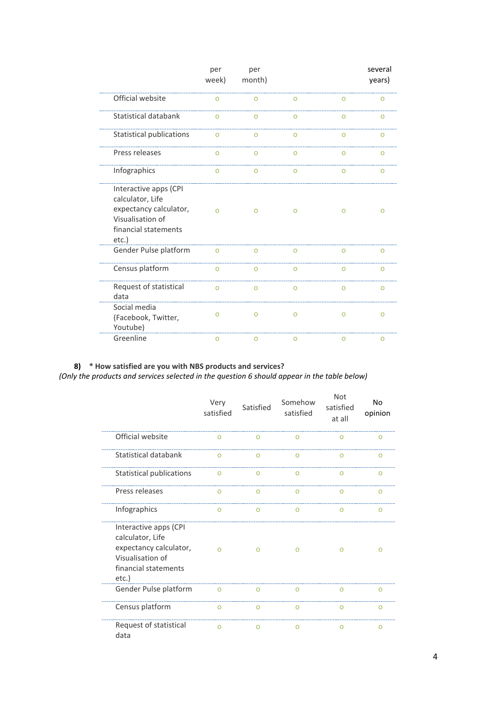|                                                                                                                             | per<br>week) | per<br>month) |          |          | several<br>years) |
|-----------------------------------------------------------------------------------------------------------------------------|--------------|---------------|----------|----------|-------------------|
| Official website                                                                                                            | O            | $\Omega$      | $\Omega$ | O        | $\Omega$          |
| Statistical databank                                                                                                        | $\Omega$     | $\circ$       | $\circ$  | $\Omega$ | $\Omega$          |
| <b>Statistical publications</b>                                                                                             | $\Omega$     | $\circ$       | $\circ$  | $\circ$  | $\Omega$          |
| Press releases                                                                                                              | $\Omega$     | O             | O        | O        | O                 |
| Infographics                                                                                                                | $\Omega$     | $\Omega$      | O        | $\Omega$ | $\Omega$          |
| Interactive apps (CPI<br>calculator, Life<br>expectancy calculator,<br>Visualisation of<br>financial statements<br>$etc.$ ) | $\Omega$     | O             | O        | O        | $\Omega$          |
| Gender Pulse platform                                                                                                       | $\Omega$     | $\circ$       | $\circ$  | $\circ$  | $\Omega$          |
| Census platform                                                                                                             | $\Omega$     | $\circ$       | O        | O        | O                 |
| Request of statistical<br>data                                                                                              | $\Omega$     | $\circ$       | $\Omega$ | $\Omega$ | O                 |
| Social media<br>(Facebook, Twitter,<br>Youtube)                                                                             | O            | $\circ$       | o        | O        | O                 |
| Greenline                                                                                                                   | $\circ$      | $\circ$       | $\circ$  | O        | O                 |

**8) \* How satisfied are you with NBS products and services?** *(Only the products and services selected in the question 6 should appear in the table below)*

|                                                                                                                          | Very<br>satisfied | Satisfied      | Somehow<br>satisfied | Not<br>satisfied<br>at all | <b>No</b><br>opinion |
|--------------------------------------------------------------------------------------------------------------------------|-------------------|----------------|----------------------|----------------------------|----------------------|
| Official website                                                                                                         | $\Omega$          | $\Omega$       | $\Omega$             | $\Omega$                   | Ω                    |
| Statistical databank                                                                                                     | $\Omega$          | $\Omega$       | $\Omega$             | $\Omega$                   | $\Omega$             |
| <b>Statistical publications</b>                                                                                          | $\Omega$          | $\Omega$       | $\Omega$             | Ω                          | O                    |
| Press releases                                                                                                           | $\Omega$          | $\Omega$       | $\Omega$             | $\Omega$                   | $\Omega$             |
| Infographics                                                                                                             | $\overline{O}$    | $\overline{O}$ | $\Omega$             | $\Omega$                   | $\Omega$             |
| Interactive apps (CPI<br>calculator, Life<br>expectancy calculator,<br>Visualisation of<br>financial statements<br>etc.) | $\Omega$          | Ω              | O                    | O                          | ∩                    |
| Gender Pulse platform                                                                                                    | $\overline{O}$    | $\overline{O}$ | $\circ$              | $\circ$                    | $\circ$              |
| Census platform                                                                                                          | $\Omega$          | $\Omega$       | $\Omega$             | O                          | O                    |
| Request of statistical<br>data                                                                                           | $\Omega$          | $\Omega$       | O                    | $\Omega$                   | $\Omega$             |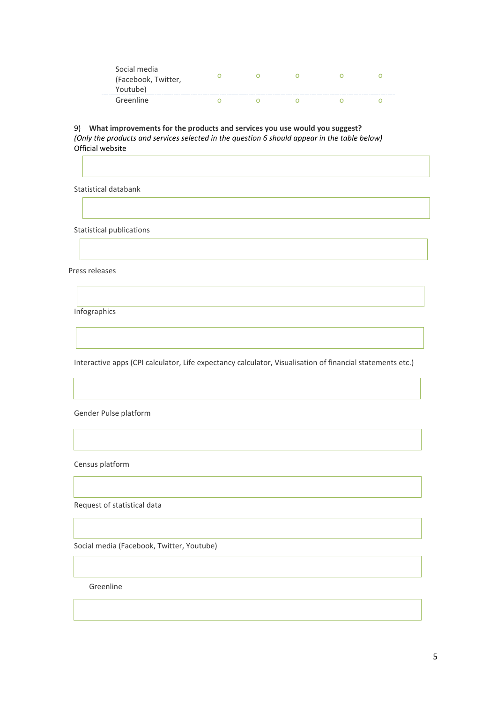| Social media<br>(Facebook, Twitter,<br>Youtube) |  |  |  |
|-------------------------------------------------|--|--|--|
| Greenline                                       |  |  |  |

9) **What improvements for the products and services you use would you suggest?** *(Only the products and services selected in the question 6 should appear in the table below)* Official website

Statistical databank

Statistical publications

Press releases

**Infographics** 

Interactive apps (CPI calculator, Life expectancy calculator, Visualisation of financial statements etc.)

Gender Pulse platform

Census platform

Request of statistical data

Social media (Facebook, Twitter, Youtube)

Greenline